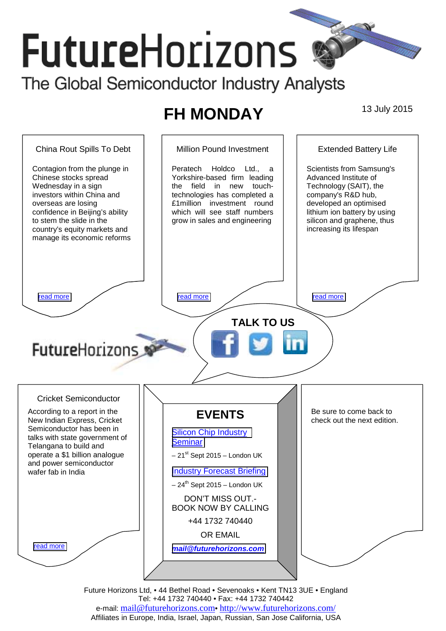# **Future**Horizons The Global Semiconductor Industry Analysts

## **FH MONDAY** 13 July 2015



Tel: +44 1732 740440 • Fax: +44 1732 740442 e-mail: mail@futurehorizons.com• http://www.futurehorizons.com/ Affiliates in Europe, India, Israel, Japan, Russian, San Jose California, USA